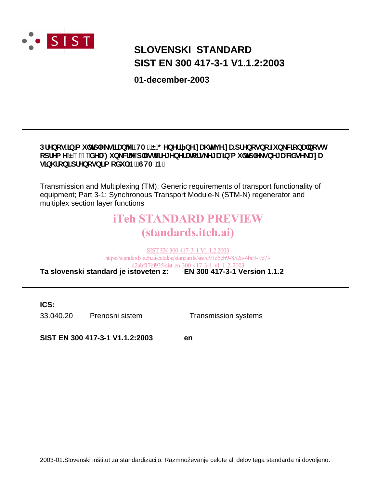

## **SIST EN 300 417-3-1 V1.1.2:2003 SLOVENSKI STANDARD**

**01-december-2003**

#### DfYbcg']b'a i `hd`Y\_g]fUb^Y'fHAŁË'; YbYf] bY'nU hYj Y'nU'dfYbcgbc'Z b\_WcbU'bcgh cdfYa YË'!%"XY.:ib\_WWYd`UghifY[YbYfUlcfg\_Y[U']b'a i`hd`Y\_gbY[U'cXgY\_U'nU g]b\fcb]'dfYbcgb]'a cXi `!B'fGHA!BŁ

Transmission and Multiplexing (TM); Generic requirements of transport functionality of equipment; Part 3-1: Synchronous Transport Module-N (STM-N) regenerator and multiplex section layer functions

## iTeh STANDARD PREVIEW (standards.iteh.ai)

**Ta slovenski standard je istoveten z: EN 300 417-3-1 Version 1.1.2** SIST EN 300 417-3-1 V1.1.2:2003 https://standards.iteh.ai/catalog/standards/sist/e91d5eb9-852a-4be9-9c7fd2abf47bf935/sist-en-300-417-3-1-v1-1-2-2003

**ICS:**

33.040.20 Prenosni sistem Transmission systems

**SIST EN 300 417-3-1 V1.1.2:2003 en**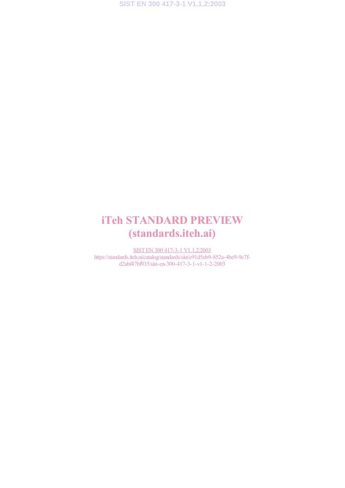## iTeh STANDARD PREVIEW (standards.iteh.ai)

SIST EN 300 417-3-1 V1.1.2:2003 https://standards.iteh.ai/catalog/standards/sist/e91d5eb9-852a-4be9-9c7fd2abf47bf935/sist-en-300-417-3-1-v1-1-2-2003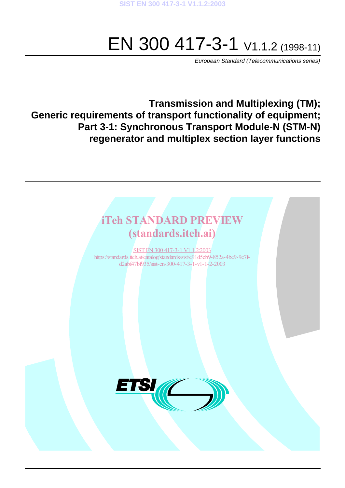# EN 300 417-3-1 V1.1.2 (1998-11)

European Standard (Telecommunications series)

**Transmission and Multiplexing (TM); Generic requirements of transport functionality of equipment; Part 3-1: Synchronous Transport Module-N (STM-N) regenerator and multiplex section layer functions**

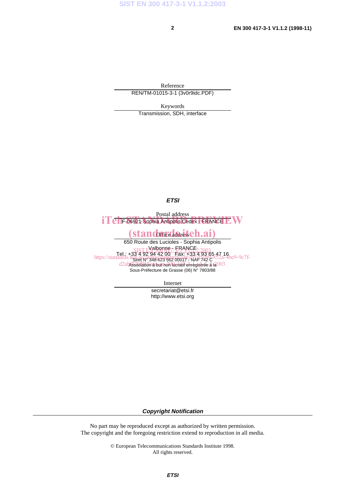Reference REN/TM-01015-3-1 (3v0r9idc.PDF)

Keywords

Transmission, SDH, interface

**ETSI**

Postal address iTeh-06921 Sophia Antipolis Cedex FRANCE EW

#### Office address (standardardseh.ai)

650 Route des Lucioles - Sophia Antipolis Valbonne<del>,</del> FRANCE Tel.: +33 4 92 94 42 00 Fax: +33 4 93 65 47 16 Siret N° 348 623 562 00017 - NAF 742 C Association à but non lucratif enregistrée à la Sous-Préfecture de Grasse (06) N° 7803/88  $SIST E$  albonne  $7.5$  KANCE  $2.2003$ https://standards.iteh.ai/catalog/standards.iteh.ai/catalogy/35309342a-4be9-9c7fd2ab4336dationsasbutnonDuclatif-enregistree-2-12003

Internet

secretariat@etsi.fr http://www.etsi.org

**Copyright Notification**

No part may be reproduced except as authorized by written permission. The copyright and the foregoing restriction extend to reproduction in all media.

> © European Telecommunications Standards Institute 1998. All rights reserved.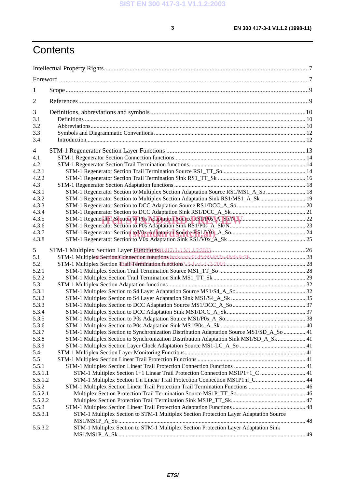## **Contents**

| $\mathbf{1}$   |                                                                                           |  |
|----------------|-------------------------------------------------------------------------------------------|--|
| 2              |                                                                                           |  |
| 3              |                                                                                           |  |
| 3.1            |                                                                                           |  |
| 3.2            |                                                                                           |  |
| 3.3            |                                                                                           |  |
| 3.4            |                                                                                           |  |
| 4              |                                                                                           |  |
| 4.1            |                                                                                           |  |
| 4.2            |                                                                                           |  |
| 4.2.1          |                                                                                           |  |
| 4.2.2          |                                                                                           |  |
| 4.3            |                                                                                           |  |
| 4.3.1          | STM-1 Regenerator Section to Multiplex Section Adaptation Source RS1/MS1_A_So  18         |  |
| 4.3.2          |                                                                                           |  |
| 4.3.3          |                                                                                           |  |
| 4.3.4          |                                                                                           |  |
| 4.3.5          |                                                                                           |  |
| 4.3.6          |                                                                                           |  |
| 4.3.7          |                                                                                           |  |
| 4.3.8          |                                                                                           |  |
| 5              |                                                                                           |  |
| 5.1            |                                                                                           |  |
| 5.2            |                                                                                           |  |
| 5.2.1          |                                                                                           |  |
| 5.2.2          |                                                                                           |  |
| 5.3            |                                                                                           |  |
| 5.3.1          |                                                                                           |  |
| 5.3.2          |                                                                                           |  |
| 5.3.3          |                                                                                           |  |
| 5.3.4          |                                                                                           |  |
| 5.3.5          |                                                                                           |  |
| 5.3.6          |                                                                                           |  |
| 5.3.7<br>5.3.8 | STM-1 Multiplex Section to Synchronization Distribution Adaptation Source MS1/SD_A_So  41 |  |
| 5.3.9          | STM-1 Multiplex Section to Synchronization Distribution Adaptation Sink MS1/SD_A_Sk  41   |  |
| 5.4            |                                                                                           |  |
| 5.5            |                                                                                           |  |
| 5.5.1          |                                                                                           |  |
| 5.5.1.1        | STM-1 Multiplex Section 1+1 Linear Trail Protection Connection MS1P1+1_C  41              |  |
| 5.5.1.2        | STM-1 Multiplex Section 1:n Linear Trail Protection Connection MS1P1:n_C 44               |  |
| 5.5.2          |                                                                                           |  |
| 5.5.2.1        |                                                                                           |  |
| 5.5.2.2        |                                                                                           |  |
| 5.5.3          |                                                                                           |  |
| 5.5.3.1        | STM-1 Multiplex Section to STM-1 Multiplex Section Protection Layer Adaptation Source     |  |
|                |                                                                                           |  |
| 5.5.3.2        | STM-1 Multiplex Section to STM-1 Multiplex Section Protection Layer Adaptation Sink       |  |
|                |                                                                                           |  |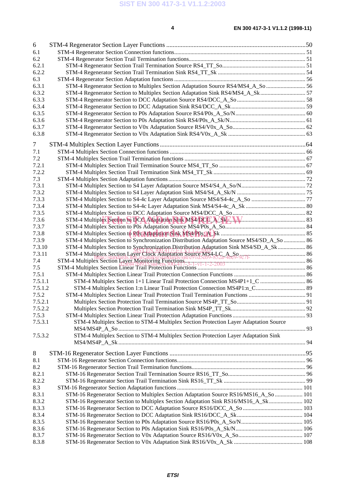| 6       |                                                                                                                                                                                                                 |  |
|---------|-----------------------------------------------------------------------------------------------------------------------------------------------------------------------------------------------------------------|--|
| 6.1     |                                                                                                                                                                                                                 |  |
| 6.2     |                                                                                                                                                                                                                 |  |
| 6.2.1   |                                                                                                                                                                                                                 |  |
| 6.2.2   |                                                                                                                                                                                                                 |  |
| 6.3     |                                                                                                                                                                                                                 |  |
| 6.3.1   | STM-4 Regenerator Section to Multiplex Section Adaptation Source RS4/MS4_A_So  56                                                                                                                               |  |
| 6.3.2   | STM-4 Regenerator Section to Multiplex Section Adaptation Sink RS4/MS4_A_Sk  57                                                                                                                                 |  |
| 6.3.3   |                                                                                                                                                                                                                 |  |
| 6.3.4   |                                                                                                                                                                                                                 |  |
| 6.3.5   |                                                                                                                                                                                                                 |  |
| 6.3.6   |                                                                                                                                                                                                                 |  |
| 6.3.7   |                                                                                                                                                                                                                 |  |
| 6.3.8   |                                                                                                                                                                                                                 |  |
| 7       |                                                                                                                                                                                                                 |  |
| 7.1     |                                                                                                                                                                                                                 |  |
| 7.2     |                                                                                                                                                                                                                 |  |
| 7.2.1   |                                                                                                                                                                                                                 |  |
| 7.2.2   |                                                                                                                                                                                                                 |  |
| 7.3     |                                                                                                                                                                                                                 |  |
| 7.3.1   |                                                                                                                                                                                                                 |  |
| 7.3.2   |                                                                                                                                                                                                                 |  |
| 7.3.3   |                                                                                                                                                                                                                 |  |
| 7.3.4   |                                                                                                                                                                                                                 |  |
| 7.3.5   |                                                                                                                                                                                                                 |  |
| 7.3.6   |                                                                                                                                                                                                                 |  |
| 7.3.7   |                                                                                                                                                                                                                 |  |
| 7.3.8   |                                                                                                                                                                                                                 |  |
| 7.3.9   | STM-4 Multiplex Section to Synchronization Distribution Adaptation Source MS4/SD_A_So  86                                                                                                                       |  |
| 7.3.10  | STM-4 Multiplex Section to Synchronization Distribution Adaptation Sink MS4/SD_A_Sk  86                                                                                                                         |  |
| 7.3.11  | STM-4 Multiplex Section Layer Clock Adaptation Source MS4-LC A Society<br>STM-4 Multiplex Section Layer Monitoring Function Source MS4-LC A Society-907f-<br>STM-4 Multiplex Section Layer Monitoring Functions |  |
| 7.4     |                                                                                                                                                                                                                 |  |
| 7.5     |                                                                                                                                                                                                                 |  |
| 7.5.1   |                                                                                                                                                                                                                 |  |
| 7.5.1.1 | STM-4 Multiplex Section 1+1 Linear Trail Protection Connection MS4P1+1_C  86                                                                                                                                    |  |
| 7.5.1.2 |                                                                                                                                                                                                                 |  |
| 7.5.2   |                                                                                                                                                                                                                 |  |
| 7.5.2.1 |                                                                                                                                                                                                                 |  |
| 7.5.2.2 |                                                                                                                                                                                                                 |  |
| 7.5.3   |                                                                                                                                                                                                                 |  |
| 7.5.3.1 | STM-4 Multiplex Section to STM-4 Multiplex Section Protection Layer Adaptation Source                                                                                                                           |  |
|         | STM-4 Multiplex Section to STM-4 Multiplex Section Protection Layer Adaptation Sink                                                                                                                             |  |
| 7.5.3.2 |                                                                                                                                                                                                                 |  |
|         |                                                                                                                                                                                                                 |  |
| 8       |                                                                                                                                                                                                                 |  |
| 8.1     |                                                                                                                                                                                                                 |  |
| 8.2     |                                                                                                                                                                                                                 |  |
| 8.2.1   |                                                                                                                                                                                                                 |  |
| 8.2.2   |                                                                                                                                                                                                                 |  |
| 8.3     |                                                                                                                                                                                                                 |  |
| 8.3.1   | STM-16 Regenerator Section to Multiplex Section Adaptation Source RS16/MS16_A_So  101                                                                                                                           |  |
| 8.3.2   | STM-16 Regenerator Section to Multiplex Section Adaptation Sink RS16/MS16_A_Sk  102                                                                                                                             |  |
| 8.3.3   |                                                                                                                                                                                                                 |  |
| 8.3.4   |                                                                                                                                                                                                                 |  |
| 8.3.5   |                                                                                                                                                                                                                 |  |
| 8.3.6   |                                                                                                                                                                                                                 |  |
| 8.3.7   |                                                                                                                                                                                                                 |  |
| 8.3.8   |                                                                                                                                                                                                                 |  |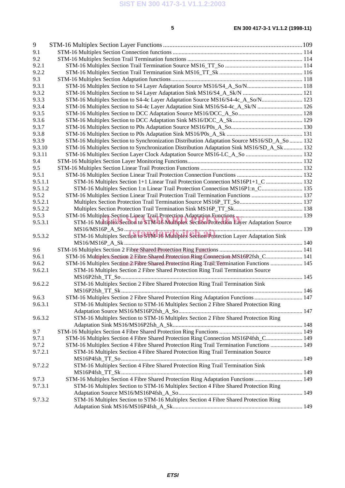#### 9 STM-16 Multiplex Section Layer Functions .......................................................................................109 9.1 STM-16 Multiplex Section Connection functions ......................................................................................... 114 9.2 STM-16 Multiplex Section Trail Termination functions ............................................................................... 114 9.2.1 STM-16 Multiplex Section Trail Termination Source MS16\_TT\_So ..................................................... 114 9.2.2 STM-16 Multiplex Section Trail Termination Sink MS16\_TT\_Sk ......................................................... 116 9.3 STM-16 Multiplex Section Adaptation functions.......................................................................................... 118 9.3.1 STM-16 Multiplex Section to S4 Layer Adaptation Source MS16/S4\_A\_So/N...................................... 118 9.3.2 STM-16 Multiplex Section to S4 Layer Adaptation Sink MS16/S4\_A\_Sk/N ......................................... 121 9.3.3 STM-16 Multiplex Section to S4-4c Layer Adaptation Source MS16/S4-4c\_A\_So/N............................. 123 9.3.4 STM-16 Multiplex Section to S4-4c Layer Adaptation Sink MS16/S4-4c\_A\_Sk/N ............................... 126 9.3.5 STM-16 Multiplex Section to DCC Adaptation Source MS16/DCC\_A\_So............................................ 128 9.3.6 STM-16 Multiplex Section to DCC Adaptation Sink MS16/DCC\_A\_Sk................................................ 129 9.3.7 STM-16 Multiplex Section to P0s Adaptation Source MS16/P0s\_A\_So................................................. 130 9.3.8 STM-16 Multiplex Section to P0s Adaptation Sink MS16/P0s\_A\_Sk .................................................... 131 9.3.9 STM-16 Multiplex Section to Synchronization Distribution Adaptation Source MS16/SD\_A\_So ......... 132 9.3.10 STM-16 Multiplex Section to Synchronization Distribution Adaptation Sink MS16/SD\_A\_Sk............. 132 9.3.11 STM-16 Multiplex Section Layer Clock Adaptation Source MS16-LC\_A\_So ....................................... 132 9.4 STM-16 Multiplex Section Layer Monitoring Functions............................................................................... 132 9.5 STM-16 Multiplex Section Linear Trail Protection Functions ...................................................................... 132 9.5.1 STM-16 Multiplex Section Linear Trail Protection Connection Functions ............................................. 132 9.5.1.1 STM-16 Multiplex Section 1+1 Linear Trail Protection Connection MS16P1+1\_C ......................... 132 9.5.1.2 STM-16 Multiplex Section 1:n Linear Trail Protection Connection MS16P1:n\_C............................ 135 9.5.2 STM-16 Multiplex Section Linear Trail Protection Trail Termination Functions ................................... 137 9.5.2.1 Multiplex Section Protection Trail Termination Source MS16P\_TT\_So........................................... 137 9.5.2.2 Multiplex Section Protection Trail Termination Sink MS16P\_TT\_Sk............................................... 138 9.5.3 STM-16 Multiplex Section Linear Trail Protection Adaptation Functions .............................................. 139 9.5.3 STM-16 Multiplex Section Linear Trail Protection Adaptation Functions<br>9.5.3.1 STM-16 Multiplex Section to STM-16 Multiplex Section Protection Layer Adaptation Source MS16/MS16P\_A\_So .......................................................................................................................... 139 9.5.3.2 STM-16 Multiplex Section to STM-16 Multiplex Section Protection Layer Adaptation Sink (standards.iteh.ai) MS16/MS16P\_A\_Sk .......................................................................................................................... 140 9.6 STM-16 Multiplex Section 2 Fibre Shared Protection Ring Functions ......................................................... 141 SIST EN 300 417-3-1 V1.1.2:2003 9.6.1 STM-16 Multiplex Section 2 Fibre Shared Protection Ring Connection MS16P2fsh\_C......................... 141 https://standards.iteh.ai/catalog/standards/sist/e91d5eb9-852a-4be9-9c7f-9.6.2 STM-16 Multiplex Section 2 Fibre Shared Protection Ring Trail Termination Functions ...................... 145 9.6.2.1 STM-16 Multiplex Section 2 Fibre Shared Protection Ring Trail Termination Source MS16P2fsh\_TT\_So............................................................................................................................ 145 9.6.2.2 STM-16 Multiplex Section 2 Fibre Shared Protection Ring Trail Termination Sink MS16P2fsh\_TT\_Sk ............................................................................................................................ 146 9.6.3 STM-16 Multiplex Section 2 Fibre Shared Protection Ring Adaptation Functions ................................. 147 9.6.3.1 STM-16 Multiplex Section to STM-16 Multiplex Section 2 Fibre Shared Protection Ring Adaptation Source MS16/MS16P2fsh\_A\_So..................................................................................... 147 9.6.3.2 STM-16 Multiplex Section to STM-16 Multiplex Section 2 Fibre Shared Protection Ring Adaptation Sink MS16/MS16P2fsh\_A\_Sk......................................................................................... 148 9.7 STM-16 Multiplex Section 4 Fibre Shared Protection Ring Functions ......................................................... 149 9.7.1 STM-16 Multiplex Section 4 Fibre Shared Protection Ring Connection MS16P4fsh\_C......................... 149 9.7.2 STM-16 Multiplex Section 4 Fibre Shared Protection Ring Trail Termination Functions ...................... 149 9.7.2.1 STM-16 Multiplex Section 4 Fibre Shared Protection Ring Trail Termination Source MS16P4fsh\_TT\_So............................................................................................................................ 149 9.7.2.2 STM-16 Multiplex Section 4 Fibre Shared Protection Ring Trail Termination Sink MS16P4fsh\_TT\_Sk ............................................................................................................................ 149 9.7.3 STM-16 Multiplex Section 4 Fibre Shared Protection Ring Adaptation Functions ................................. 149 9.7.3.1 STM-16 Multiplex Section to STM-16 Multiplex Section 4 Fibre Shared Protection Ring Adaptation Source MS16/MS16P4fsh\_A\_So..................................................................................... 149 9.7.3.2 STM-16 Multiplex Section to STM-16 Multiplex Section 4 Fibre Shared Protection Ring Adaptation Sink MS16/MS16P4fsh\_A\_Sk......................................................................................... 149

#### **ETSI**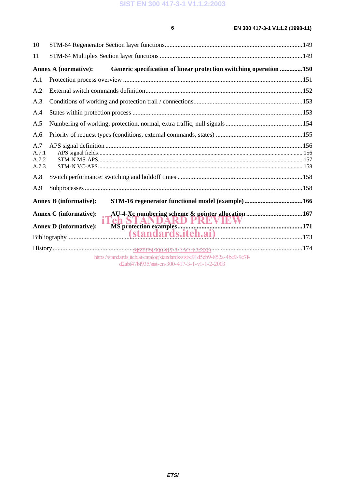| 10                             |                                                                                                                           |  |
|--------------------------------|---------------------------------------------------------------------------------------------------------------------------|--|
| 11                             |                                                                                                                           |  |
|                                | <b>Annex A (normative):</b><br>Generic specification of linear protection switching operation 150                         |  |
| A.1                            |                                                                                                                           |  |
| A.2                            |                                                                                                                           |  |
| A.3                            |                                                                                                                           |  |
| A.4                            |                                                                                                                           |  |
| A.5                            |                                                                                                                           |  |
| A.6                            |                                                                                                                           |  |
| A.7<br>A.7.1<br>A.7.2<br>A.7.3 |                                                                                                                           |  |
| A.8                            |                                                                                                                           |  |
| A.9                            |                                                                                                                           |  |
|                                | <b>Annex B (informative):</b>                                                                                             |  |
|                                | <b>Annex C</b> (informative):<br><b>iTeh STANDARD PREVIEW</b><br>MS protection examples                                   |  |
|                                | <b>Annex D</b> (informative):                                                                                             |  |
|                                |                                                                                                                           |  |
|                                | https://standards.iteh.ai/catalog/standards/sist/e91d5eb9-852a-4be9-9c7f-<br>d2abf47bf935/sist-en-300-417-3-1-v1-1-2-2003 |  |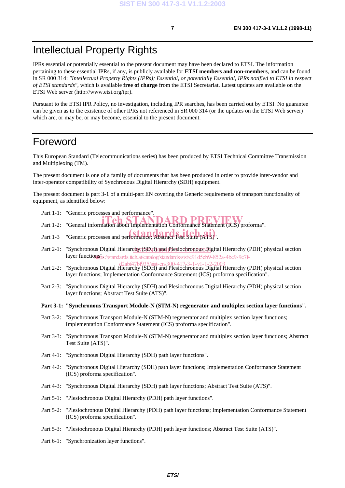## Intellectual Property Rights

IPRs essential or potentially essential to the present document may have been declared to ETSI. The information pertaining to these essential IPRs, if any, is publicly available for **ETSI members and non-members**, and can be found in SR 000 314: *"Intellectual Property Rights (IPRs); Essential, or potentially Essential, IPRs notified to ETSI in respect of ETSI standards"*, which is available **free of charge** from the ETSI Secretariat. Latest updates are available on the ETSI Web server (http://www.etsi.org/ipr).

Pursuant to the ETSI IPR Policy, no investigation, including IPR searches, has been carried out by ETSI. No guarantee can be given as to the existence of other IPRs not referenced in SR 000 314 (or the updates on the ETSI Web server) which are, or may be, or may become, essential to the present document.

#### Foreword

This European Standard (Telecommunications series) has been produced by ETSI Technical Committee Transmission and Multiplexing (TM).

The present document is one of a family of documents that has been produced in order to provide inter-vendor and inter-operator compatibility of Synchronous Digital Hierarchy (SDH) equipment.

The present document is part 3-1 of a multi-part EN covering the Generic requirements of transport functionality of equipment, as identified below:

- Part 1-1: "Generic processes and performance".
- Part 1-2: "General information about Implementation Conformance Statement (ICS) proforma".
- Part 1-3 "Generic processes and performance; Abstract Test Suite (ATS)".
- Part 2-1: "Synchronous Digital Hierarchy (SDH) and Plesiochronous Digital Hierarchy (PDH) physical section layer functions".//standards.iteh.ai/catalog/standards/sist/e91d5eb9-852a-4be9-9c7f-
- Part 2-2: "Synchronous Digital Hierarchy (SDH) and Plesiochronous Digital Hierarchy (PDH) physical section layer functions; Implementation Conformance Statement (ICS) proforma specification".
- Part 2-3: "Synchronous Digital Hierarchy (SDH) and Plesiochronous Digital Hierarchy (PDH) physical section layer functions; Abstract Test Suite (ATS)".

**Part 3-1: "Synchronous Transport Module-N (STM-N) regenerator and multiplex section layer functions".**

- Part 3-2: "Synchronous Transport Module-N (STM-N) regenerator and multiplex section layer functions; Implementation Conformance Statement (ICS) proforma specification".
- Part 3-3: "Synchronous Transport Module-N (STM-N) regenerator and multiplex section layer functions; Abstract Test Suite (ATS)".
- Part 4-1: "Synchronous Digital Hierarchy (SDH) path layer functions".
- Part 4-2: "Synchronous Digital Hierarchy (SDH) path layer functions; Implementation Conformance Statement (ICS) proforma specification".
- Part 4-3: "Synchronous Digital Hierarchy (SDH) path layer functions; Abstract Test Suite (ATS)".
- Part 5-1: "Plesiochronous Digital Hierarchy (PDH) path layer functions".
- Part 5-2: "Plesiochronous Digital Hierarchy (PDH) path layer functions; Implementation Conformance Statement (ICS) proforma specification".
- Part 5-3: "Plesiochronous Digital Hierarchy (PDH) path layer functions; Abstract Test Suite (ATS)".
- Part 6-1: "Synchronization layer functions".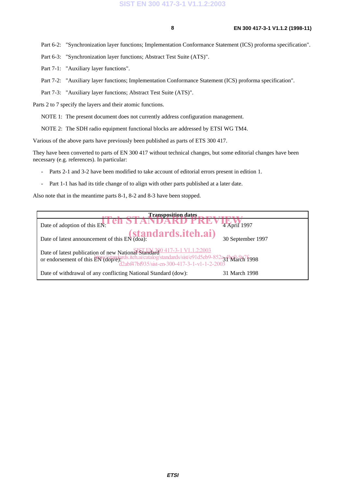Part 6-2: "Synchronization layer functions; Implementation Conformance Statement (ICS) proforma specification".

Part 6-3: "Synchronization layer functions; Abstract Test Suite (ATS)".

Part 7-1: "Auxiliary layer functions".

Part 7-2: "Auxiliary layer functions; Implementation Conformance Statement (ICS) proforma specification".

Part 7-3: "Auxiliary layer functions; Abstract Test Suite (ATS)".

Parts 2 to 7 specify the layers and their atomic functions.

NOTE 1: The present document does not currently address configuration management.

NOTE 2: The SDH radio equipment functional blocks are addressed by ETSI WG TM4.

Various of the above parts have previously been published as parts of ETS 300 417.

They have been converted to parts of EN 300 417 without technical changes, but some editorial changes have been necessary (e.g. references). In particular:

- Parts 2-1 and 3-2 have been modified to take account of editorial errors present in edition 1.
- Part 1-1 has had its title change of to align with other parts published at a later date.

Also note that in the meantime parts 8-1, 8-2 and 8-3 have been stopped.

| <b>Transposition dates</b>                                                                                                                                                                                                       |                   |
|----------------------------------------------------------------------------------------------------------------------------------------------------------------------------------------------------------------------------------|-------------------|
| Date of adoption of this EN:                                                                                                                                                                                                     | 4 April 1997      |
| Date of latest announcement of this EN (doa): $(standards.iteh. ai)$                                                                                                                                                             | 30 September 1997 |
| Date of latest publication of new National Standard 20 417-3-1 V1.1.2:2003<br>or endorsement of this EN (dop/e)ards.iteh.ai/catalog/standards/sist/e91d5eb9-852a3 flx92-967 f998<br>d2abf47bf935/sist-en-300-417-3-1-v1-1-2-2003 |                   |
| Date of withdrawal of any conflicting National Standard (dow):                                                                                                                                                                   | 31 March 1998     |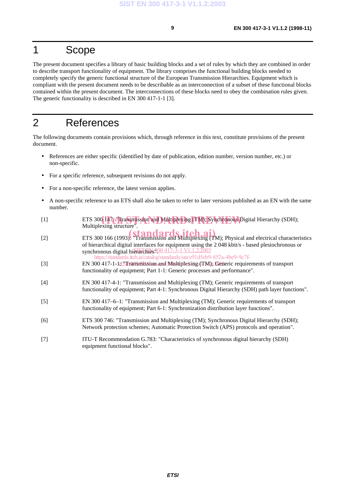## 1 Scope

The present document specifies a library of basic building blocks and a set of rules by which they are combined in order to describe transport functionality of equipment. The library comprises the functional building blocks needed to completely specify the generic functional structure of the European Transmission Hierarchies. Equipment which is compliant with the present document needs to be describable as an interconnection of a subset of these functional blocks contained within the present document. The interconnections of these blocks need to obey the combination rules given. The generic functionality is described in EN 300 417-1-1 [3].

### 2 References

The following documents contain provisions which, through reference in this text, constitute provisions of the present document.

- References are either specific (identified by date of publication, edition number, version number, etc.) or non-specific.
- For a specific reference, subsequent revisions do not apply.
- For a non-specific reference, the latest version applies.
- A non-specific reference to an ETS shall also be taken to refer to later versions published as an EN with the same number.
- [1] ETS 300 147<sup>-</sup> Transmission and Multiplexing (TM); Synchronous Digital Hierarchy (SDH);<br>Multiplexing structure<sup>"</sup> Multiplexing structure".
- ETS 300 166 (1993). Transmission and Multiplexing (TM); Physical and electrical characteristics of hierarchical digital interfaces for equipment using the 2 048 kbit/s - based plesiochronous or synchronous digital his  $\sqrt{364600417-3}$  -  $1 \times 1.22003$ synchronous digital hierarchies 300 417-3-1 V1.1.2:2003 https://standards.iteh.ai/catalog/standards/sist/e91d5eb9-852a-4be9-9c7f-
- [3] EN 300 417-1-1d <sup>2</sup>a ransport and Multiplexing (TM); Generic requirements of transport functionality of equipment; Part 1-1: Generic processes and performance".
- [4] EN 300 417-4-1: "Transmission and Multiplexing (TM); Generic requirements of transport functionality of equipment; Part 4-1: Synchronous Digital Hierarchy (SDH) path layer functions".
- [5] EN 300 417–6–1: "Transmission and Multiplexing (TM); Generic requirements of transport functionality of equipment; Part 6-1: Synchronization distribution layer functions".
- [6] ETS 300 746: "Transmission and Multiplexing (TM); Synchronous Digital Hierarchy (SDH); Network protection schemes; Automatic Protection Switch (APS) protocols and operation".
- [7] ITU-T Recommendation G.783: "Characteristics of synchronous digital hierarchy (SDH) equipment functional blocks".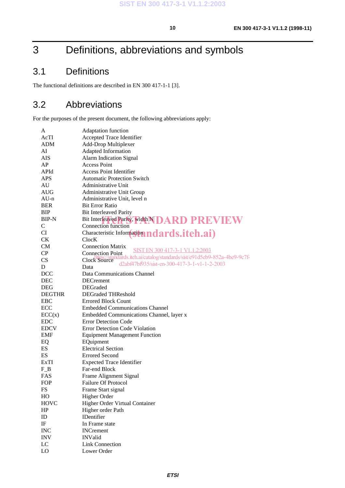## 3 Definitions, abbreviations and symbols

## 3.1 Definitions

The functional definitions are described in EN 300 417-1-1 [3].

#### 3.2 Abbreviations

For the purposes of the present document, the following abbreviations apply:

| A             | Adaptation function                                                |
|---------------|--------------------------------------------------------------------|
| AcTI          | Accepted Trace Identifier                                          |
| ADM           | Add-Drop Multiplexer                                               |
| AI            | Adapted Information                                                |
| AIS           | Alarm Indication Signal                                            |
| AP            | <b>Access Point</b>                                                |
| APId          | <b>Access Point Identifier</b>                                     |
| <b>APS</b>    | <b>Automatic Protection Switch</b>                                 |
| AU            | <b>Administrative Unit</b>                                         |
| AUG           | Administrative Unit Group                                          |
| $AU-n$        | Administrative Unit, level n                                       |
| BER           | <b>Bit Error Ratio</b>                                             |
| BIP           | <b>Bit Interleaved Parity</b>                                      |
| BIP-N         | Bit Interleaved Parity, width NDARD PREVIEW                        |
| C             | Connection function                                                |
| CI            |                                                                    |
| <b>CK</b>     | Characteristic Information ndards.itch.ai)<br>ClocK                |
| <b>CM</b>     | <b>Connection Matrix</b>                                           |
| CP            | SIST EN 300 417-3-1 V1.1.2:2003<br><b>Connection Point</b>         |
| <b>CS</b>     | Clock Source (15 and 2015) standards/sixt/e91d5eb9-852a-4be9-9c7f- |
| D             | d2abf47bf935/sist-en-300-417-3-1-v1-1-2-2003<br>Data               |
|               |                                                                    |
| <b>DCC</b>    | Data Communications Channel                                        |
| <b>DEC</b>    | <b>DECrement</b>                                                   |
| <b>DEG</b>    | DEGraded                                                           |
| <b>DEGTHR</b> | <b>DEGraded THReshold</b>                                          |
| <b>EBC</b>    | <b>Errored Block Count</b>                                         |
| ECC           | <b>Embedded Communications Channel</b>                             |
| ECC(x)        | Embedded Communications Channel, layer x                           |
| <b>EDC</b>    | <b>Error Detection Code</b>                                        |
| <b>EDCV</b>   | <b>Error Detection Code Violation</b>                              |
| EMF           | <b>Equipment Management Function</b>                               |
| EQ            | EQuipment                                                          |
| <b>ES</b>     | <b>Electrical Section</b>                                          |
| ES            | <b>Errored Second</b>                                              |
| ExTI          | <b>Expected Trace Identifier</b>                                   |
| $F_B$         | Far-end Block                                                      |
| <b>FAS</b>    | Frame Alignment Signal                                             |
| FOP           | <b>Failure Of Protocol</b>                                         |
| FS            | Frame Start signal                                                 |
| HO            | Higher Order                                                       |
| <b>HOVC</b>   | Higher Order Virtual Container                                     |
| HP            | Higher order Path                                                  |
| ID            | <b>IDentifier</b>                                                  |
| $_{\rm IF}$   | In Frame state                                                     |
| <b>INC</b>    | <b>INCrement</b>                                                   |
| <b>INV</b>    | <b>INValid</b>                                                     |
| LC            | <b>Link Connection</b>                                             |
| <b>LO</b>     | Lower Order                                                        |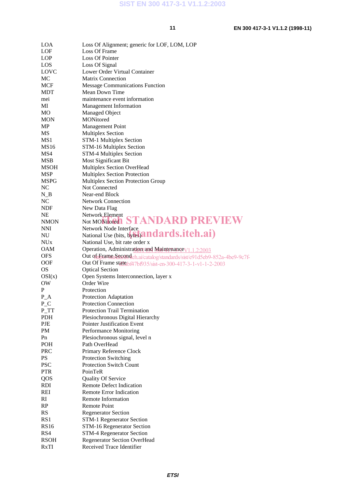| <b>LOA</b>            | Loss Of Alignment; generic for LOF, LOM, LOP                              |
|-----------------------|---------------------------------------------------------------------------|
| LOF                   | Loss Of Frame                                                             |
| <b>LOP</b>            | Loss Of Pointer                                                           |
| LOS                   | Loss Of Signal                                                            |
| LOVC                  | Lower Order Virtual Container                                             |
| MC                    | <b>Matrix Connection</b>                                                  |
| <b>MCF</b>            | <b>Message Communications Function</b>                                    |
| MDT                   | Mean Down Time                                                            |
| mei                   | maintenance event information                                             |
| МI                    | Management Information                                                    |
| M <sub>O</sub>        | <b>Managed Object</b>                                                     |
| <b>MON</b>            | <b>MONitored</b>                                                          |
| MP                    | <b>Management Point</b>                                                   |
| MS                    | Multiplex Section                                                         |
| MS1                   |                                                                           |
|                       | STM-1 Multiplex Section                                                   |
| <b>MS16</b>           | STM-16 Multiplex Section                                                  |
| MS4                   | STM-4 Multiplex Section                                                   |
| MSB                   | Most Significant Bit                                                      |
| <b>MSOH</b>           | Multiplex Section OverHead                                                |
| <b>MSP</b>            | <b>Multiplex Section Protection</b>                                       |
| <b>MSPG</b>           | Multiplex Section Protection Group                                        |
| <b>NC</b>             | Not Connected                                                             |
| $N_B$                 | Near-end Block                                                            |
| <b>NC</b>             | <b>Network Connection</b>                                                 |
| <b>NDF</b>            | New Data Flag                                                             |
| <b>NE</b>             | Network Element                                                           |
| <b>NMON</b>           | Not MONitored STANDARD PREVIEW                                            |
| <b>NNI</b>            | Network Node Interface                                                    |
| NU                    | National Use (bits, by Esandards.iteh.ai)                                 |
| <b>NU<sub>x</sub></b> | National Use, bit rate order x                                            |
| <b>OAM</b>            | Operation, Administration and Maintenance V1.1.2:2003                     |
| <b>OFS</b>            | Out of Frame Second ch.ai/catalog/standards/sist/e91d5eb9-852a-4be9-9c7f- |
| <b>OOF</b>            | Out Of Frame state bf47bf935/sist-en-300-417-3-1-v1-1-2-2003              |
| <b>OS</b>             | <b>Optical Section</b>                                                    |
| OSI(x)                | Open Systems Interconnection, layer x                                     |
| OW                    | Order Wire                                                                |
| P                     | Protection                                                                |
| $P_A$                 | Protection Adaptation                                                     |
| $P_{C}$               | <b>Protection Connection</b>                                              |
| $P_T$                 |                                                                           |
|                       |                                                                           |
|                       | <b>Protection Trail Termination</b>                                       |
| <b>PDH</b>            | Plesiochronous Digital Hierarchy                                          |
| PJE                   | <b>Pointer Justification Event</b>                                        |
| <b>PM</b>             | Performance Monitoring                                                    |
| Pn                    | Plesiochronous signal, level n                                            |
| POH                   | Path OverHead                                                             |
| <b>PRC</b>            | Primary Reference Clock                                                   |
| PS                    | <b>Protection Switching</b>                                               |
| <b>PSC</b>            | <b>Protection Switch Count</b>                                            |
| <b>PTR</b>            | PoinTeR                                                                   |
| QOS                   | Quality Of Service                                                        |
| <b>RDI</b>            | <b>Remote Defect Indication</b>                                           |
| REI                   | <b>Remote Error Indication</b>                                            |
| RI                    | Remote Information                                                        |
| RP                    | Remote Point                                                              |
| <b>RS</b>             | <b>Regenerator Section</b>                                                |
| RS1                   | STM-1 Regenerator Section                                                 |
| <b>RS16</b>           | <b>STM-16 Regenerator Section</b>                                         |
| RS4                   | <b>STM-4 Regenerator Section</b>                                          |
| RSOH                  | <b>Regenerator Section OverHead</b><br>Received Trace Identifier          |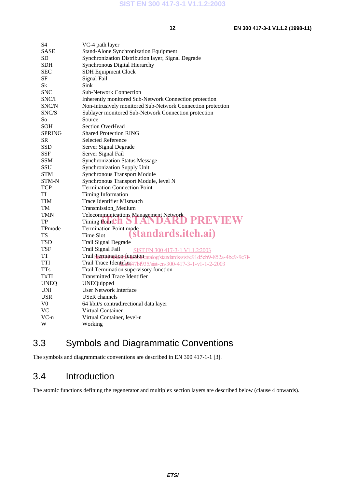| S4          | VC-4 path layer                                                            |
|-------------|----------------------------------------------------------------------------|
| SASE        | <b>Stand-Alone Synchronization Equipment</b>                               |
| SD          | Synchronization Distribution layer, Signal Degrade                         |
| <b>SDH</b>  | Synchronous Digital Hierarchy                                              |
| SEC         | <b>SDH Equipment Clock</b>                                                 |
| SF          | Signal Fail                                                                |
| Sk          | Sink                                                                       |
| <b>SNC</b>  | <b>Sub-Network Connection</b>                                              |
| SNC/I       | Inherently monitored Sub-Network Connection protection                     |
| SNC/N       | Non-intrusively monitored Sub-Network Connection protection                |
| SNC/S       | Sublayer monitored Sub-Network Connection protection                       |
| So          | Source                                                                     |
| SOH         | <b>Section OverHead</b>                                                    |
| SPRING      | <b>Shared Protection RING</b>                                              |
| SR          | <b>Selected Reference</b>                                                  |
| <b>SSD</b>  | Server Signal Degrade                                                      |
| <b>SSF</b>  | Server Signal Fail                                                         |
| <b>SSM</b>  | <b>Synchronization Status Message</b>                                      |
| SSU         | <b>Synchronization Supply Unit</b>                                         |
| <b>STM</b>  | <b>Synchronous Transport Module</b>                                        |
| STM-N       | Synchronous Transport Module, level N                                      |
| <b>TCP</b>  | <b>Termination Connection Point</b>                                        |
| TI          | Timing Information                                                         |
| <b>TIM</b>  | <b>Trace Identifier Mismatch</b>                                           |
| TM          | Transmission_Medium                                                        |
| TMN         | Telecommunications Management Network                                      |
| TP          | PREVIEW<br>Timing Point en STANDARD                                        |
| TPmode      | <b>Termination Point mode</b>                                              |
| TS          | standards.iteh.ai)<br>Time Slot                                            |
| TSD         | Trail Signal Degrade                                                       |
| <b>TSF</b>  | Trail Signal Fail<br>SIST EN 300 417-3-1 V1.1.2:2003                       |
| <b>TT</b>   | Trail Fermination dunction catalog/standards/sist/e91d5eb9-852a-4be9-9c7f- |
| TTI         | Trail Trace Identifiera 7bf935/sist-en-300-417-3-1-v1-1-2-2003             |
| <b>TTs</b>  | Trail Termination supervisory function                                     |
| TxTI        | <b>Transmitted Trace Identifier</b>                                        |
| <b>UNEQ</b> | <b>UNEQuipped</b>                                                          |
| <b>UNI</b>  | User Network Interface                                                     |
| <b>USR</b>  | USeR channels                                                              |
| V0          | 64 kbit/s contradirectional data layer                                     |
| <b>VC</b>   | Virtual Container                                                          |
| VC-n        | Virtual Container, level-n                                                 |
| W           | Working                                                                    |

## 3.3 Symbols and Diagrammatic Conventions

The symbols and diagrammatic conventions are described in EN 300 417-1-1 [3].

#### 3.4 Introduction

The atomic functions defining the regenerator and multiplex section layers are described below (clause 4 onwards).

#### **ETSI**